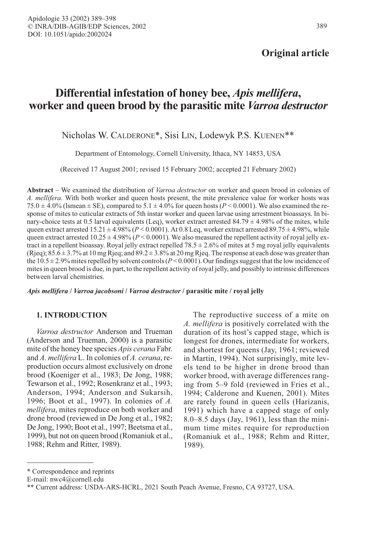## Original article

# Differential infestation of honey bee, Apis mellifera, worker and queen brood by the parasitic mite Varroa destructor

## Nicholas W. CALDERONE\*, Sisi LIN, Lodewyk P.S. KUENEN\*\*

Department of Entomology, Cornell University, Ithaca, NY 14853, USA

(Received 17 August 2001; revised 15 February 2002; accepted 21 February 2002)

Abstract – We examined the distribution of Varroa destructor on worker and queen brood in colonies of A. mellifera. With both worker and queen hosts present, the mite prevalence value for worker hosts was 75.0  $\pm$  4.0% (Ismean  $\pm$  SE), compared to 5.1  $\pm$  4.0% for queen hosts (P < 0.0001). We also examined the response of mites to cuticular extracts of 5th instar worker and queen larvae using arrestment bioassays. In binary-choice tests at 0.5 larval equivalents (Leq), worker extract arrested  $84.79 \pm 4.98\%$  of the mites, while queen extract arrested  $15.21 \pm 4.98\%$  ( $P < 0.0001$ ). At 0.8 Leq, worker extract arrested 89.75  $\pm$  4.98%, while queen extract arrested  $10.25 \pm 4.98\%$  ( $P < 0.0001$ ). We also measured the repellent activity of royal jelly extract in a repellent bioassay. Royal jelly extract repelled 78.5 ± 2.6% of mites at 5 mg royal jelly equivalents  $(R)$ ieq); 85.6  $\pm$  3.7% at 10 mg Rjeq; and 89.2  $\pm$  3.8% at 20 mg Rjeq. The response at each dose was greater than the  $10.5 \pm 2.9\%$  mites repelled by solvent controls (P < 0.0001). Our findings suggest that the low incidence of mites in queen brood is due, in part, to the repellent activity of royal jelly, and possibly to intrinsic differences between larval chemistries.

Apis mellifera / Varroa jacobsoni / Varroa destructor / parasitic mite / royal jelly

## 1. INTRODUCTION

Varroa destructor Anderson and Trueman (Anderson and Trueman, 2000) is a parasitic mite of the honey bee species *Apis cerana* Fabr. and A. mellifera L. In colonies of A. cerana, reproduction occurs almost exclusively on drone brood (Koeniger et al., 1983; De Jong, 1988; Tewarson et al., 1992; Rosenkranz et al., 1993; Anderson, 1994; Anderson and Sukarsih, 1996; Boot et al., 1997). In colonies of A. mellifera, mites reproduce on both worker and drone brood (reviewed in De Jong et al., 1982; De Jong, 1990; Boot et al., 1997; Beetsma et al., 1999), but not on queen brood (Romaniuk et al., 1988; Rehm and Ritter, 1989).

The reproductive success of a mite on A. mellifera is positively correlated with the duration of its host's capped stage, which is longest for drones, intermediate for workers, and shortest for queens (Jay, 1961; reviewed in Martin, 1994). Not surprisingly, mite levels tend to be higher in drone brood than worker brood, with average differences ranging from 5–9 fold (reviewed in Fries et al., 1994; Calderone and Kuenen, 2001). Mites are rarely found in queen cells (Harizanis, 1991) which have a capped stage of only 8.0–8.5 days (Jay, 1961), less than the minimum time mites require for reproduction (Romaniuk et al., 1988; Rehm and Ritter, 1989).

<sup>\*</sup> Correspondence and reprints

E-mail: nwc4@cornell.edu

<sup>\*\*</sup> Current address: USDA-ARS-HCRL, 2021 South Peach Avenue, Fresno, CA 93727, USA.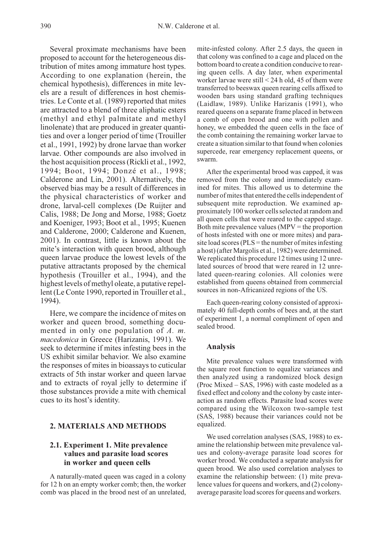Several proximate mechanisms have been proposed to account for the heterogeneous distribution of mites among immature host types. According to one explanation (herein, the chemical hypothesis), differences in mite levels are a result of differences in host chemistries. Le Conte et al. (1989) reported that mites are attracted to a blend of three aliphatic esters (methyl and ethyl palmitate and methyl linolenate) that are produced in greater quantities and over a longer period of time (Trouiller et al., 1991, 1992) by drone larvae than worker larvae. Other compounds are also involved in the host acquisition process (Rickli et al., 1992, 1994; Boot, 1994; Donzé et al., 1998; Calderone and Lin, 2001). Alternatively, the observed bias may be a result of differences in the physical characteristics of worker and drone, larval-cell complexes (De Ruijter and Calis, 1988; De Jong and Morse, 1988; Goetz and Koeniger, 1993; Boot et al., 1995; Kuenen and Calderone, 2000; Calderone and Kuenen, 2001). In contrast, little is known about the mite's interaction with queen brood, although queen larvae produce the lowest levels of the putative attractants proposed by the chemical hypothesis (Trouiller et al., 1994), and the highest levels of methyl oleate, a putative repellent (Le Conte 1990, reported in Trouiller et al., 1994).

Here, we compare the incidence of mites on worker and queen brood, something documented in only one population of A. m. macedonica in Greece (Harizanis, 1991). We seek to determine if mites infesting bees in the US exhibit similar behavior. We also examine the responses of mites in bioassays to cuticular extracts of 5th instar worker and queen larvae and to extracts of royal jelly to determine if those substances provide a mite with chemical cues to its host's identity.

#### 2. MATERIALS AND METHODS

## 2.1. Experiment 1. Mite prevalence values and parasite load scores in worker and queen cells

A naturally-mated queen was caged in a colony for 12 h on an empty worker comb; then, the worker comb was placed in the brood nest of an unrelated,

mite-infested colony. After 2.5 days, the queen in that colony was confined to a cage and placed on the bottom board to create a condition conducive to rearing queen cells. A day later, when experimental worker larvae were still < 24 h old, 45 of them were transferred to beeswax queen rearing cells affixed to wooden bars using standard grafting techniques (Laidlaw, 1989). Unlike Harizanis (1991), who reared queens on a separate frame placed in between a comb of open brood and one with pollen and honey, we embedded the queen cells in the face of the comb containing the remaining worker larvae to create a situation similar to that found when colonies supercede, rear emergency replacement queens, or swarm.

After the experimental brood was capped, it was removed from the colony and immediately examined for mites. This allowed us to determine the number of mites that entered the cells independent of subsequent mite reproduction. We examined approximately 100 worker cells selected at random and all queen cells that were reared to the capped stage. Both mite prevalence values ( $MPV =$  the proportion of hosts infested with one or more mites) and parasite load scores (PLS = the number of mites infesting a host) (after Margolis et al., 1982) were determined. We replicated this procedure 12 times using 12 unrelated sources of brood that were reared in 12 unrelated queen-rearing colonies. All colonies were established from queens obtained from commercial sources in non-Africanized regions of the US.

Each queen-rearing colony consisted of approximately 40 full-depth combs of bees and, at the start of experiment 1, a normal compliment of open and sealed brood.

#### Analysis

Mite prevalence values were transformed with the square root function to equalize variances and then analyzed using a randomized block design (Proc Mixed – SAS, 1996) with caste modeled as a fixed effect and colony and the colony by caste interaction as random effects. Parasite load scores were compared using the Wilcoxon two-sample test (SAS, 1988) because their variances could not be equalized.

We used correlation analyses (SAS, 1988) to examine the relationship between mite prevalence values and colony-average parasite load scores for worker brood. We conducted a separate analysis for queen brood. We also used correlation analyses to examine the relationship between: (1) mite prevalence values for queens and workers, and (2) colonyaverage parasite load scores for queens and workers.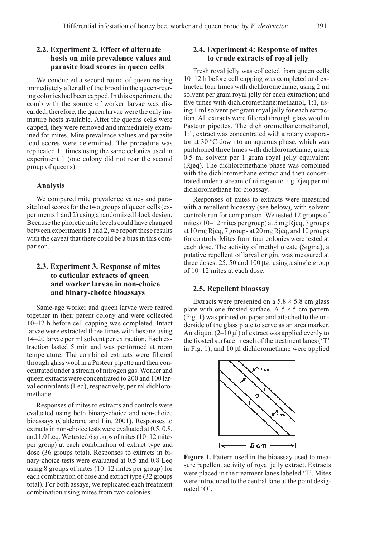## 2.2. Experiment 2. Effect of alternate hosts on mite prevalence values and parasite load scores in queen cells

We conducted a second round of queen rearing immediately after all of the brood in the queen-rearing colonies had been capped. In this experiment, the comb with the source of worker larvae was discarded; therefore, the queen larvae were the only immature hosts available. After the queens cells were capped, they were removed and immediately examined for mites. Mite prevalence values and parasite load scores were determined. The procedure was replicated 11 times using the same colonies used in experiment 1 (one colony did not rear the second group of queens).

#### Analysis

We compared mite prevalence values and parasite load scores for the two groups of queen cells (experiments 1 and 2) using a randomized block design. Because the phoretic mite levels could have changed between experiments 1 and 2, we report these results with the caveat that there could be a bias in this comparison.

## 2.3. Experiment 3. Response of mites to cuticular extracts of queen and worker larvae in non-choice and binary-choice bioassays

Same-age worker and queen larvae were reared together in their parent colony and were collected 10–12 h before cell capping was completed. Intact larvae were extracted three times with hexane using 14–20 larvae per ml solvent per extraction. Each extraction lasted 5 min and was performed at room temperature. The combined extracts were filtered through glass wool in a Pasteur pipette and then concentrated under a stream of nitrogen gas. Worker and queen extracts were concentrated to 200 and 100 larval equivalents (Leq), respectively, per ml dichloromethane.

Responses of mites to extracts and controls were evaluated using both binary-choice and non-choice bioassays (Calderone and Lin, 2001). Responses to extracts in non-choice tests were evaluated at 0.5, 0.8, and 1.0 Leq. We tested 6 groups of mites (10–12 mites per group) at each combination of extract type and dose (36 groups total). Responses to extracts in binary-choice tests were evaluated at 0.5 and 0.8 Leq using 8 groups of mites (10–12 mites per group) for each combination of dose and extract type (32 groups total). For both assays, we replicated each treatment combination using mites from two colonies.

## 2.4. Experiment 4: Response of mites to crude extracts of royal jelly

Fresh royal jelly was collected from queen cells 10–12 h before cell capping was completed and extracted four times with dichloromethane, using 2 ml solvent per gram royal jelly for each extraction; and five times with dichloromethane:methanol, 1:1, using 1 ml solvent per gram royal jelly for each extraction. All extracts were filtered through glass wool in Pasteur pipettes. The dichloromethane:methanol, 1:1, extract was concentrated with a rotary evaporator at 30  $\rm{^{\circ}C}$  down to an aqueous phase, which was partitioned three times with dichloromethane, using 0.5 ml solvent per 1 gram royal jelly equivalent (Rjeq). The dichloromethane phase was combined with the dichloromethane extract and then concentrated under a stream of nitrogen to 1 g Rjeq per ml dichloromethane for bioassay.

Responses of mites to extracts were measured with a repellent bioassay (see below), with solvent controls run for comparison. We tested 12 groups of mites (10–12 mites per group) at 5 mg Rjeq, 7 groups at 10 mg Rjeq, 7 groups at 20 mg Rjeq, and 10 groups for controls. Mites from four colonies were tested at each dose. The activity of methyl oleate (Sigma), a putative repellent of larval origin, was measured at three doses: 25, 50 and 100 µg, using a single group of 10–12 mites at each dose.

#### 2.5. Repellent bioassay

Extracts were presented on a  $5.8 \times 5.8$  cm glass plate with one frosted surface. A  $5 \times 5$  cm pattern (Fig. 1) was printed on paper and attached to the underside of the glass plate to serve as an area marker. An aliquot  $(2-10 \mu l)$  of extract was applied evenly to the frosted surface in each of the treatment lanes ('T' in Fig. 1), and 10 µl dichloromethane were applied



Figure 1. Pattern used in the bioassay used to measure repellent activity of royal jelly extract. Extracts were placed in the treatment lanes labeled 'T'. Mites were introduced to the central lane at the point designated 'O'.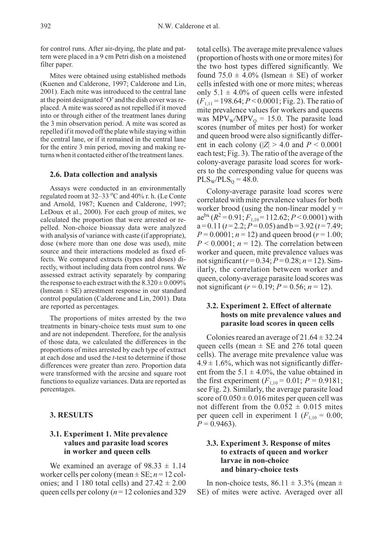for control runs. After air-drying, the plate and pattern were placed in a 9 cm Petri dish on a moistened filter paper.

Mites were obtained using established methods (Kuenen and Calderone, 1997; Calderone and Lin, 2001). Each mite was introduced to the central lane at the point designated 'O'and the dish cover was replaced. A mite was scored as not repelled if it moved into or through either of the treatment lanes during the 3 min observation period. A mite was scored as repelled if it moved off the plate while staying within the central lane, or if it remained in the central lane for the entire 3 min period, moving and making returns when it contacted either of the treatment lanes.

#### 2.6. Data collection and analysis

Assays were conducted in an environmentally regulated room at 32–33 °C and 40% r. h. (Le Conte and Arnold, 1987; Kuenen and Calderone, 1997; LeDoux et al., 2000). For each group of mites, we calculated the proportion that were arrested or repelled. Non-choice bioassay data were analyzed with analysis of variance with caste (if appropriate), dose (where more than one dose was used), mite source and their interactions modeled as fixed effects. We compared extracts (types and doses) directly, without including data from control runs. We assessed extract activity separately by comparing the response to each extract with the  $8.320 \pm 0.009\%$ (lsmean  $\pm$  SE) arrestment response in our standard control population (Calderone and Lin, 2001). Data are reported as percentages.

The proportions of mites arrested by the two treatments in binary-choice tests must sum to one and are not independent. Therefore, for the analysis of those data, we calculated the differences in the proportions of mites arrested by each type of extract at each dose and used the t-test to determine if those differences were greater than zero. Proportion data were transformed with the arcsine and square root functions to equalize variances. Data are reported as percentages.

#### 3. RESULTS

## 3.1. Experiment 1. Mite prevalence values and parasite load scores in worker and queen cells

We examined an average of  $98.33 \pm 1.14$ worker cells per colony (mean  $\pm$  SE;  $n = 12$  colonies; and 1 180 total cells) and  $27.42 \pm 2.00$ queen cells per colony ( $n = 12$  colonies and 329 total cells). The average mite prevalence values (proportion of hosts with one or more mites) for the two host types differed significantly. We found  $75.0 \pm 4.0\%$  (lsmean  $\pm$  SE) of worker cells infested with one or more mites; whereas only  $5.1 \pm 4.0\%$  of queen cells were infested  $(F_{1,11} = 198.64; P < 0.0001; Fig. 2)$ . The ratio of mite prevalence values for workers and queens was  $MPV_w/MPV_0 = 15.0$ . The parasite load scores (number of mites per host) for worker and queen brood were also significantly different in each colony ( $|Z| > 4.0$  and  $P \le 0.0001$ each test; Fig. 3). The ratio of the average of the colony-average parasite load scores for workers to the corresponding value for queens was  $PLS_W/PLS_O = 48.0.$ 

Colony-average parasite load scores were correlated with mite prevalence values for both worker brood (using the non-linear model  $y =$ ae<sup>bx</sup> ( $R^2$  = 0.91;  $F_{1,10}$  = 112.62;  $P$  < 0.0001) with  $a = 0.11$  ( $t = 2.2$ ;  $P = 0.05$ ) and  $b = 3.92$  ( $t = 7.49$ ;  $P = 0.0001$ ;  $n = 12$ ) and queen brood ( $r = 1.00$ ;  $P < 0.0001$ ;  $n = 12$ ). The correlation between worker and queen, mite prevalence values was not significant  $(r=0.34; P=0.28; n=12)$ . Similarly, the correlation between worker and queen, colony-average parasite load scores was not significant ( $r = 0.19$ ;  $P = 0.56$ ;  $n = 12$ ).

## 3.2. Experiment 2. Effect of alternate hosts on mite prevalence values and parasite load scores in queen cells

Colonies reared an average of  $21.64 \pm 32.24$ queen cells (mean  $\pm$  SE and 276 total queen cells). The average mite prevalence value was  $4.9 \pm 1.6\%$ , which was not significantly different from the  $5.1 \pm 4.0\%$ , the value obtained in the first experiment  $(F_{1,10} = 0.01; P = 0.9181;$ see Fig. 2). Similarly, the average parasite load score of  $0.050 \pm 0.016$  mites per queen cell was not different from the  $0.052 \pm 0.015$  mites per queen cell in experiment 1 ( $F_{1,10} = 0.00$ ;  $P = 0.9463$ ).

## 3.3. Experiment 3. Response of mites to extracts of queen and worker larvae in non-choice and binary-choice tests

In non-choice tests,  $86.11 \pm 3.3\%$  (mean  $\pm$ SE) of mites were active. Averaged over all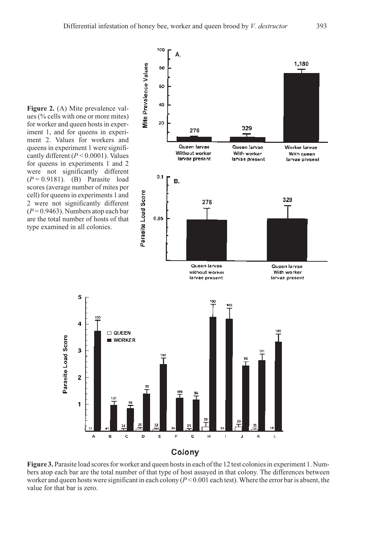Figure 2. (A) Mite prevalence values (% cells with one or more mites) for worker and queen hosts in experiment 1, and for queens in experiment 2. Values for workers and queens in experiment 1 were significantly different ( $P < 0.0001$ ). Values for queens in experiments 1 and 2 were not significantly different  $(P = 0.9181)$ . (B) Parasite load scores (average number of mites per cell) for queens in experiments 1 and 2 were not significantly different  $(P = 0.9463)$ . Numbers atop each bar are the total number of hosts of that type examined in all colonies.

5

4

3

 $\overline{\mathbf{c}}$ 

1

A

Parasite Load Score



## Colony

Figure 3. Parasite load scores for worker and queen hosts in each of the 12 test colonies in experiment 1. Numbers atop each bar are the total number of that type of host assayed in that colony. The differences between worker and queen hosts were significant in each colony  $(P<0.001$  each test). Where the error bar is absent, the value for that bar is zero.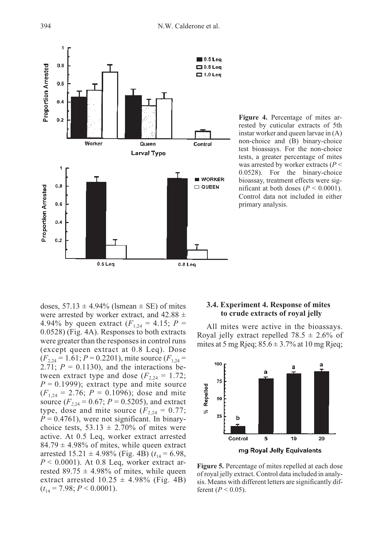

Figure 4. Percentage of mites arrested by cuticular extracts of 5th instar worker and queen larvae in (A) non-choice and (B) binary-choice test bioassays. For the non-choice tests, a greater percentage of mites was arrested by worker extracts ( $P$  < 0.0528). For the binary-choice bioassay, treatment effects were significant at both doses ( $P < 0.0001$ ). Control data not included in either primary analysis.

doses,  $57.13 \pm 4.94\%$  (lsmean  $\pm$  SE) of mites were arrested by worker extract, and  $42.88 \pm$ 4.94% by queen extract  $(F_{1,24} = 4.15; P =$ 0.0528) (Fig. 4A). Responses to both extracts were greater than the responses in control runs (except queen extract at 0.8 Leq). Dose  $(F_{2,24} = 1.61; P = 0.2201)$ , mite source  $(F_{1,24} =$ 2.71;  $P = 0.1130$ , and the interactions between extract type and dose  $(F_{2,24} = 1.72)$ ;  $P = 0.1999$ ); extract type and mite source  $(F<sub>1,24</sub> = 2.76; P = 0.1096)$ ; dose and mite source  $(F_{2,24} = 0.67; P = 0.5205)$ , and extract type, dose and mite source  $(F_{2,24} = 0.77;$  $P = 0.4761$ , were not significant. In binarychoice tests,  $53.13 \pm 2.70\%$  of mites were active. At 0.5 Leq, worker extract arrested 84.79  $\pm$  4.98% of mites, while queen extract arrested  $15.21 \pm 4.98\%$  (Fig. 4B)  $(t_{14} = 6.98,$  $P < 0.0001$ ). At 0.8 Leq, worker extract arrested 89.75  $\pm$  4.98% of mites, while queen extract arrested  $10.25 \pm 4.98\%$  (Fig. 4B)  $(t_{14} = 7.98; P \le 0.0001).$ 

## 3.4. Experiment 4. Response of mites to crude extracts of royal jelly

All mites were active in the bioassays. Royal jelly extract repelled  $78.5 \pm 2.6\%$  of mites at 5 mg Rjeq;  $85.6 \pm 3.7\%$  at 10 mg Rjeq;



Figure 5. Percentage of mites repelled at each dose of royal jelly extract. Control data included in analysis. Means with different letters are significantly different ( $P < 0.05$ ).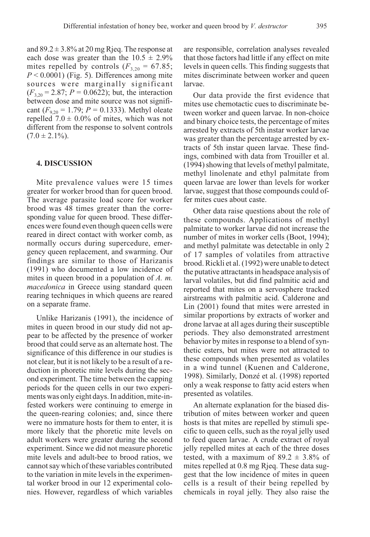and  $89.2 \pm 3.8\%$  at 20 mg Rjeq. The response at each dose was greater than the  $10.5 \pm 2.9\%$ mites repelled by controls  $(F_{3,20} = 67.85;$  $P < 0.0001$ ) (Fig. 5). Differences among mite sources were marginally significant  $(F_{3,20} = 2.87; P = 0.0622)$ ; but, the interaction between dose and mite source was not significant ( $F_{9,20} = 1.79$ ;  $P = 0.1333$ ). Methyl oleate repelled  $7.0 \pm 0.0\%$  of mites, which was not

 $(7.0 \pm 2.1\%)$ . 4. DISCUSSION

different from the response to solvent controls

Mite prevalence values were 15 times greater for worker brood than for queen brood. The average parasite load score for worker brood was 48 times greater than the corresponding value for queen brood. These differences were found even though queen cells were reared in direct contact with worker comb, as normally occurs during supercedure, emergency queen replacement, and swarming. Our findings are similar to those of Harizanis (1991) who documented a low incidence of mites in queen brood in a population of  $A$ . m. macedonica in Greece using standard queen rearing techniques in which queens are reared on a separate frame.

Unlike Harizanis (1991), the incidence of mites in queen brood in our study did not appear to be affected by the presence of worker brood that could serve as an alternate host. The significance of this difference in our studies is not clear, but it is not likely to be a result of a reduction in phoretic mite levels during the second experiment. The time between the capping periods for the queen cells in our two experiments was only eight days. In addition, mite-infested workers were continuing to emerge in the queen-rearing colonies; and, since there were no immature hosts for them to enter, it is more likely that the phoretic mite levels on adult workers were greater during the second experiment. Since we did not measure phoretic mite levels and adult-bee to brood ratios, we cannot say which of these variables contributed to the variation in mite levels in the experimental worker brood in our 12 experimental colonies. However, regardless of which variables

are responsible, correlation analyses revealed that those factors had little if any effect on mite levels in queen cells. This finding suggests that mites discriminate between worker and queen larvae.

Our data provide the first evidence that mites use chemotactic cues to discriminate between worker and queen larvae. In non-choice and binary choice tests, the percentage of mites arrested by extracts of 5th instar worker larvae was greater than the percentage arrested by extracts of 5th instar queen larvae. These findings, combined with data from Trouiller et al. (1994) showing that levels of methyl palmitate, methyl linolenate and ethyl palmitate from queen larvae are lower than levels for worker larvae, suggest that those compounds could offer mites cues about caste.

Other data raise questions about the role of these compounds. Applications of methyl palmitate to worker larvae did not increase the number of mites in worker cells (Boot, 1994); and methyl palmitate was detectable in only 2 of 17 samples of volatiles from attractive brood. Rickli et al. (1992) were unable to detect the putative attractants in headspace analysis of larval volatiles, but did find palmitic acid and reported that mites on a servosphere tracked airstreams with palmitic acid. Calderone and Lin (2001) found that mites were arrested in similar proportions by extracts of worker and drone larvae at all ages during their susceptible periods. They also demonstrated arrestment behavior by mites in response to a blend of synthetic esters, but mites were not attracted to these compounds when presented as volatiles in a wind tunnel (Kuenen and Calderone, 1998). Similarly, Donzé et al. (1998) reported only a weak response to fatty acid esters when presented as volatiles.

An alternate explanation for the biased distribution of mites between worker and queen hosts is that mites are repelled by stimuli specific to queen cells, such as the royal jelly used to feed queen larvae. A crude extract of royal jelly repelled mites at each of the three doses tested, with a maximum of  $89.2 \pm 3.8\%$  of mites repelled at 0.8 mg Rjeq. These data suggest that the low incidence of mites in queen cells is a result of their being repelled by chemicals in royal jelly. They also raise the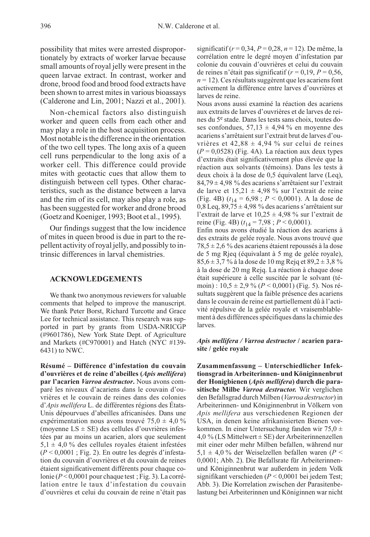possibility that mites were arrested disproportionately by extracts of worker larvae because small amounts of royal jelly were present in the queen larvae extract. In contrast, worker and drone, brood food and brood food extracts have been shown to arrest mites in various bioassays (Calderone and Lin, 2001; Nazzi et al., 2001).

Non-chemical factors also distinguish worker and queen cells from each other and may play a role in the host acquisition process. Most notable is the difference in the orientation of the two cell types. The long axis of a queen cell runs perpendicular to the long axis of a worker cell. This difference could provide mites with geotactic cues that allow them to distinguish between cell types. Other characteristics, such as the distance between a larva and the rim of its cell, may also play a role, as has been suggested for worker and drone brood (Goetz and Koeniger, 1993; Boot et al., 1995).

Our findings suggest that the low incidence of mites in queen brood is due in part to the repellent activity of royal jelly, and possibly to intrinsic differences in larval chemistries.

#### ACKNOWLEDGEMENTS

We thank two anonymous reviewers for valuable comments that helped to improve the manuscript. We thank Peter Borst, Richard Turcotte and Grace Lee for technical assistance. This research was supported in part by grants from USDA-NRICGP (#9601786), New York State Dept. of Agriculture and Markets (#C970001) and Hatch (NYC #139- 6431) to NWC.

Résumé – Différence d'infestation du couvain d'ouvrières et de reine d'abeilles (Apis mellifera) par l'acarien Varroa destructor. Nous avons comparé les niveaux d'acariens dans le couvain d'ouvrières et le couvain de reines dans des colonies d'Apis mellifera L. de différentes régions des États-Unis dépourvues d'abeilles africanisées. Dans une expérimentation nous avons trouvé  $75.0 \pm 4.0$  % (moyenne  $LS \pm SE$ ) des cellules d'ouvrières infestées par au moins un acarien, alors que seulement  $5,1 \pm 4,0$  % des cellules royales étaient infestées  $(P < 0.0001$ : Fig. 2). En outre les degrés d'infestation du couvain d'ouvrières et du couvain de reines étaient significativement différents pour chaque colonie ( $P < 0,0001$  pour chaque test ; Fig. 3). La corrélation entre le taux d'infestation du couvain d'ouvrières et celui du couvain de reine n'était pas

significatif ( $r = 0,34, P = 0,28, n = 12$ ). De même, la corrélation entre le degré moyen d'infestation par colonie du couvain d'ouvrières et celui du couvain de reines n'était pas significatif ( $r = 0.19$ ,  $P = 0.56$ ,  $n = 12$ ). Ces résultats suggèrent que les acariens font activement la différence entre larves d'ouvrières et larves de reine.

Nous avons aussi examiné la réaction des acariens aux extraits de larves d'ouvrières et de larves de reines du 5<sup>e</sup> stade. Dans les tests sans choix, toutes doses confondues,  $57.13 \pm 4.94$  % en movenne des acariens s'arrêtaient sur l'extrait brut de larves d'ouvrières et  $42,88 \pm 4,94$  % sur celui de reines  $(P = 0.0528)$  (Fig. 4A). La réaction aux deux types d'extraits était significativement plus élevée que la réaction aux solvants (témoins). Dans les tests à deux choix à la dose de 0,5 équivalent larve (Leq),  $84.79 \pm 4.98$  % des acariens s'arrêtaient sur l'extrait de larve et  $15,21 \pm 4,98$  % sur l'extrait de reine (Fig. 4B)  $(t_{14} = 6.98; P < 0.0001)$ . A la dose de  $0,8$  Leq,  $89,75 \pm 4,98$  % des acariens s'arrêtaient sur l'extrait de larve et  $10,25 \pm 4,98$  % sur l'extrait de reine (Fig. 4B)  $(t_{14} = 7.98; P \le 0.0001)$ .

Enfin nous avons étudié la réaction des acariens à des extraits de gelée royale. Nous avons trouvé que  $78,5 \pm 2,6$  % des acariens étaient repoussés à la dose de 5 mg Rjeq (équivalant à 5 mg de gelée royale),  $85,6 \pm 3,7$  % à la dose de 10 mg Rejq et  $89,2 \pm 3,8$  % à la dose de 20 mg Rejq. La réaction à chaque dose était supérieure à celle suscitée par le solvant (témoin) :  $10,5 \pm 2,9$  % ( $P < 0,0001$ ) (Fig. 5). Nos résultats suggèrent que la faible présence des acariens dans le couvain de reine est partiellement dû à l'activité répulsive de la gelée royale et vraisemblablement à des différences spécifiques dans la chimie des larves.

#### Apis mellifera / Varroa destructor / acarien parasite / gelée royale

Zusammenfassung – Unterschiedlicher Infektionsgrad in Arbeiterinnen- und Königinnenbrut der Honigbienen (Apis mellifera) durch die parasitische Milbe Varroa destructor. Wir verglichen den Befallsgrad durch Milben (Varroa destructor) in Arbeiterinnen- und Königinnenbrut in Völkern von Apis mellifera aus verschiedenen Regionen der USA, in denen keine afrikanisierten Bienen vorkommen. In einer Untersuchung fanden wir 75,0  $\pm$  $4.0\%$  (LS Mittelwert  $\pm$  SE) der Arbeiterinnenzellen mit einer oder mehr Milben befallen, während nur  $5.1 \pm 4.0$  % der Weiselzellen befallen waren (P < 0,0001; Abb. 2). Die Befallsrate für Arbeiterinnenund Königinnenbrut war außerdem in jedem Volk signifikant verschieden ( $P < 0,0001$  bei jedem Test; Abb. 3). Die Korrelation zwischen der Parasitenbelastung bei Arbeiterinnen und Königinnen war nicht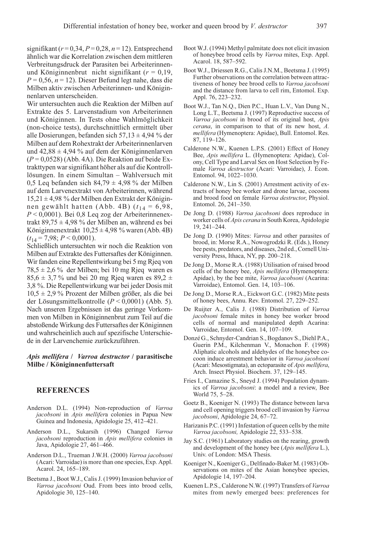signifikant ( $r = 0.34$ ,  $P = 0.28$ ,  $n = 12$ ). Entsprechend ähnlich war die Korrelation zwischen dem mittleren Verbreitungsdruck der Parasiten bei Arbeiterinnenund Königinnenbrut nicht signifikant ( $r = 0.19$ ,  $P = 0.56$ ,  $n = 12$ ). Dieser Befund legt nahe, dass die Milben aktiv zwischen Arbeiterinnen- und Königinnenlarven unterscheiden.

Wir untersuchten auch die Reaktion der Milben auf Extrakte des 5. Larvenstadium von Arbeiterinnen und Königinnen. In Tests ohne Wahlmöglichkeit (non-choice tests), durchschnittlich ermittelt über alle Dosierungen, befanden sich  $57,13 \pm 4,94$  % der Milben auf dem Rohextrakt der Arbeiterinnenlarven und  $42,88 \pm 4,94$  % auf dem der Königinnenlarven  $(P = 0.0528)$  (Abb. 4A). Die Reaktion auf beide Extrakttypen war signifikant höher als auf die Kontrolllösungen. In einem Simultan – Wahlversuch mit 0,5 Leq befanden sich  $84,79 \pm 4,98$  % der Milben auf dem Larvenextrakt von Arbeiterinnen, während  $15,21 \pm 4,98$  % der Milben den Extrakt der Königinnen gewählt hatten (Abb. 4B)  $(t_{14} = 6.98,$  $P < 0,0001$ ). Bei 0,8 Leq zog der Arbeiterinnenextrakt 89,75 ± 4,98 % der Milben an, während es bei Königinnenextrakt  $10,25 \pm 4,98$  % waren (Abb. 4B)  $(t_{14} = 7.98; P \le 0.0001).$ 

Schließlich untersuchten wir noch die Reaktion von Milben auf Extrakte des Futtersaftes der Königinnen. Wir fanden eine Repellentwirkung bei 5 mg Rjeq von  $78,5 \pm 2,6\%$  der Milben; bei 10 mg Rjeq waren es 85,6  $\pm$  3,7 % und bei 20 mg Rjeq waren es 89,2  $\pm$ 3,8 %. Die Repellentwirkung war bei jeder Dosis mit 10,5 ± 2,9 % Prozent der Milben größer, als die bei der Lösungsmittelkontrolle  $(P < 0,0001)$  (Abb. 5). Nach unseren Ergebnissen ist das geringe Vorkommen von Milben in Königinnenbrut zum Teil auf die abstoßende Wirkung des Futtersaftes der Königinnen und wahrscheinlich auch auf spezifische Unterschiede in der Larvenchemie zurückzuführen.

#### Apis mellifera / Varroa destructor / parasitische Milbe / Königinnenfuttersaft

### **REFERENCES**

- Anderson D.L. (1994) Non-reproduction of Varroa jacobsoni in Apis mellifera colonies in Papua New Guinea and Indonesia, Apidologie 25, 412–421.
- Anderson D.L., Sukarsih (1996) Changed Varroa jacobsoni reproduction in Apis mellifera colonies in Java, Apidologie 27, 461–466.
- Anderson D.L., Trueman J.W.H. (2000) Varroa jacobsoni (Acari: Varroidae) is more than one species, Exp. Appl. Acarol. 24, 165–189.
- Beetsma J., Boot W.J., Calis J. (1999) Invasion behavior of Varroa jacobsoni Oud. From bees into brood cells, Apidologie 30, 125–140.
- Boot W.J. (1994) Methyl palmitate does not elicit invasion of honeybee brood cells by Varroa mites, Exp. Appl. Acarol. 18, 587–592.
- Boot W.J., Driessen R.G., Calis J.N.M., Beetsma J. (1995) Further observations on the correlation between attractiveness of honey bee brood cells to Varroa jacobsoni and the distance from larva to cell rim, Entomol. Exp. Appl. 76, 223–232.
- Boot W.J., Tan N.Q., Dien P.C., Huan L.V., Van Dung N., Long L.T., Beetsma J. (1997) Reproductive success of Varroa jacobsoni in brood of its original host, Apis cerana, in comparison to that of its new host, A. mellifera (Hymenoptera: Apidae), Bull. Entomol. Res. 87, 119–126.
- Calderone N.W., Kuenen L.P.S. (2001) Effect of Honey Bee, Apis mellifera L. (Hymenoptera: Apidae), Colony, Cell Type and Larval Sex on Host Selection by Female Varroa destructor (Acari: Varroidae), J. Econ. Entomol. 94, 1022–1030.
- Calderone N.W., Lin S. (2001) Arrestment activity of extracts of honey bee worker and drone larvae, cocoons and brood food on female Varroa destructor, Physiol. Entomol. 26, 241–350.
- De Jong D. (1988) Varroa jacobsoni does reproduce in worker cells of Apis cerana in South Korea, Apidologie 19, 241–244.
- De Jong D. (1990) Mites: Varroa and other parasites of brood, in: Morse R.A., Nowogrodzki R. (Eds.), Honey bee pests, predators, and diseases, 2nd ed., Cornell University Press, Ithaca, NY, pp. 200–218.
- De Jong D., Morse R.A. (1988) Utilisation of raised brood cells of the honey bee, Apis mellifera (Hymenoptera: Apidae), by the bee mite, Varroa jacobsoni (Acarina: Varroidae), Entomol. Gen. 14, 103–106.
- De Jong D., Morse R.A., Eickwort G.C. (1982) Mite pests of honey bees, Annu. Rev. Entomol. 27, 229–252.
- De Ruijter A., Calis J. (1988) Distribution of Varroa jacobsoni female mites in honey bee worker brood cells of normal and manipulated depth Acarina: Varroidae, Entomol. Gen. 14, 107–109.
- Donzé G., Schnyder-Candrian S., Bogdanov S., Diehl P.A., Guerin P.M., Kilchenman V., Monachon F. (1998) Aliphatic alcohols and aldehydes of the honeybee cocoon induce arrestment behavior in Varroa jacobsoni (Acari: Mesostigmata), an ectoparasite of Apis mellifera, Arch. Insect Physiol. Biochem. 37, 129–145.
- Fries I., Camazine S., Sneyd J. (1994) Population dynamics of Varroa jacobsoni: a model and a review, Bee World 75, 5–28.
- Goetz B., Koeniger N. (1993) The distance between larva and cell opening triggers brood cell invasion by Varroa jacobsoni, Apidologie 24, 67–72.
- Harizanis P.C. (1991) Infestation of queen cells by the mite Varroa jacobsoni, Apidologie 22, 533–538.
- Jay S.C. (1961) Laboratory studies on the rearing, growth and development of the honey bee (Apis mellifera L.), Univ. of London: MSA Thesis.
- Koeniger N., Koeniger G., Delfinado-Baker M. (1983) Observations on mites of the Asian honeybee species, Apidologie 14, 197–204.
- Kuenen L.P.S., Calderone N.W. (1997) Transfers of Varroa mites from newly emerged bees: preferences for